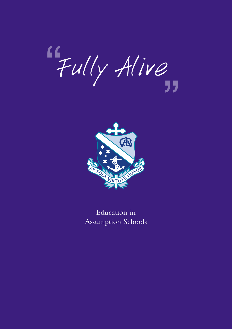"Fully Alive ,<br>,<br>,



Education in Assumption Schools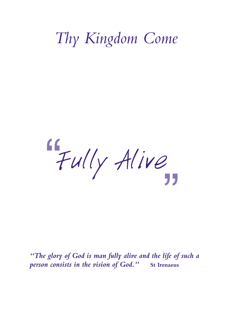# *Thy Kingdom Come*

"Fully Alive "<br>"<br>"

*"The glory of God is man fully alive and the life of such a person consists in the vision of God."* **St Irenaeus**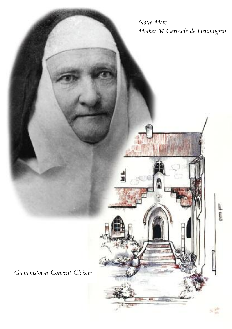*Notre Mere Mother M Gertrude de Henningsen*

*Grahamstown Convent Cloister*

ź

į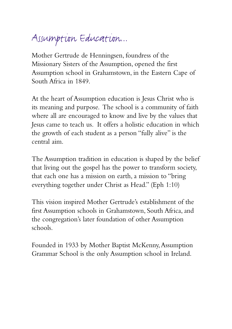#### Assumption Education...

Mother Gertrude de Henningsen, foundress of the Missionary Sisters of the Assumption, opened the first Assumption school in Grahamstown, in the Eastern Cape of South Africa in 1849.

At the heart of Assumption education is Jesus Christ who is its meaning and purpose. The school is a community of faith where all are encouraged to know and live by the values that Jesus came to teach us. It offers a holistic education in which the growth of each student as a person "fully alive" is the central aim.

The Assumption tradition in education is shaped by the belief that living out the gospel has the power to transform society, that each one has a mission on earth, a mission to "bring everything together under Christ as Head." (Eph 1:10)

This vision inspired Mother Gertrude's establishment of the first Assumption schools in Grahamstown, South Africa, and the congregation's later foundation of other Assumption schools.

Founded in 1933 by Mother Baptist McKenny,Assumption Grammar School is the only Assumption school in Ireland.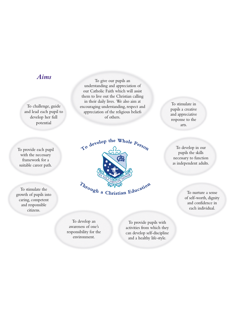#### *Aims*

To challenge, guide and lead each pupil to develop her full potential

To provide each pupil with the necessary framework for a suitable career path.

To stimulate the growth of pupils into caring, competent and responsible citizens.

To give our pupils an understanding and appreciation of our Catholic Faith which will assist them to live out the Christian calling in their daily lives. We also aim at encouraging understanding, respect and appreciation of the religious beliefs of others.



To develop an awareness of one's responsibility for the environment.

To provide pupils with activities from which they can develop self-discipline and a healthy life-style.

To stimulate in pupils a creative and appreciative response to the arts.

To develop in our pupils the skills necessary to function as independent adults.

> To nurture a sense of self-worth, dignity and confidence in each individual.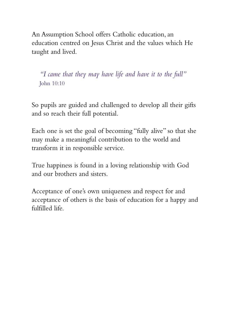An Assumption School offers Catholic education, an education centred on Jesus Christ and the values which He taught and lived.

*"I came that they may have life and have it to the full"* John 10:10

So pupils are guided and challenged to develop all their gifts and so reach their full potential.

Each one is set the goal of becoming "fully alive" so that she may make a meaningful contribution to the world and transform it in responsible service.

True happiness is found in a loving relationship with God and our brothers and sisters.

Acceptance of one's own uniqueness and respect for and acceptance of others is the basis of education for a happy and fulfilled life.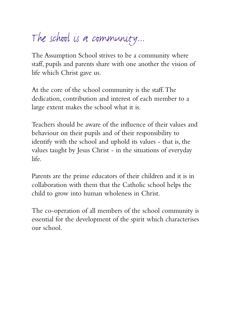## The school is a community...

The Assumption School strives to be a community where staff, pupils and parents share with one another the vision of life which Christ gave us.

At the core of the school community is the staff.The dedication, contribution and interest of each member to a large extent makes the school what it is.

Teachers should be aware of the influence of their values and behaviour on their pupils and of their responsibility to identify with the school and uphold its values - that is, the values taught by Jesus Christ - in the situations of everyday life.

Parents are the prime educators of their children and it is in collaboration with them that the Catholic school helps the child to grow into human wholeness in Christ.

The co-operation of all members of the school community is essential for the development of the spirit which characterises our school.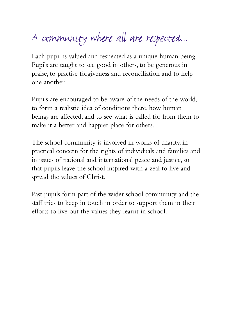# A community where all are respected...

Each pupil is valued and respected as a unique human being. Pupils are taught to see good in others, to be generous in praise, to practise forgiveness and reconciliation and to help one another.

Pupils are encouraged to be aware of the needs of the world, to form a realistic idea of conditions there, how human beings are affected, and to see what is called for from them to make it a better and happier place for others.

The school community is involved in works of charity, in practical concern for the rights of individuals and families and in issues of national and international peace and justice, so that pupils leave the school inspired with a zeal to live and spread the values of Christ.

Past pupils form part of the wider school community and the staff tries to keep in touch in order to support them in their efforts to live out the values they learnt in school.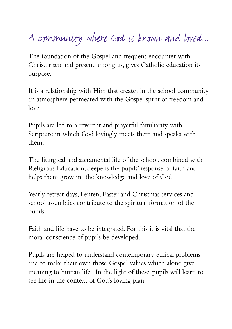## A community where God is known and loved...

The foundation of the Gospel and frequent encounter with Christ, risen and present among us, gives Catholic education its purpose.

It is a relationship with Him that creates in the school community an atmosphere permeated with the Gospel spirit of freedom and love.

Pupils are led to a reverent and prayerful familiarity with Scripture in which God lovingly meets them and speaks with them.

The liturgical and sacramental life of the school, combined with Religious Education, deepens the pupils' response of faith and helps them grow in the knowledge and love of God.

Yearly retreat days, Lenten, Easter and Christmas services and school assemblies contribute to the spiritual formation of the pupils.

Faith and life have to be integrated. For this it is vital that the moral conscience of pupils be developed.

Pupils are helped to understand contemporary ethical problems and to make their own those Gospel values which alone give meaning to human life. In the light of these, pupils will learn to see life in the context of God's loving plan.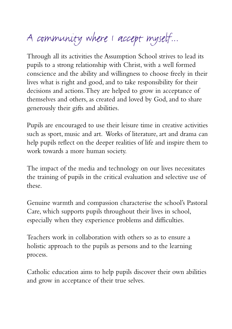# A community where I accept myself...

Through all its activities the Assumption School strives to lead its pupils to a strong relationship with Christ, with a well formed conscience and the ability and willingness to choose freely in their lives what is right and good, and to take responsibility for their decisions and actions.They are helped to grow in acceptance of themselves and others, as created and loved by God, and to share generously their gifts and abilities.

Pupils are encouraged to use their leisure time in creative activities such as sport, music and art. Works of literature, art and drama can help pupils reflect on the deeper realities of life and inspire them to work towards a more human society.

The impact of the media and technology on our lives necessitates the training of pupils in the critical evaluation and selective use of these.

Genuine warmth and compassion characterise the school's Pastoral Care, which supports pupils throughout their lives in school, especially when they experience problems and difficulties.

Teachers work in collaboration with others so as to ensure a holistic approach to the pupils as persons and to the learning process.

Catholic education aims to help pupils discover their own abilities and grow in acceptance of their true selves.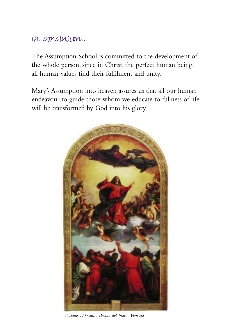#### In conclusion...

The Assumption School is committed to the development of the whole person, since in Christ, the perfect human being, all human values find their fulfilment and unity.

Mary's Assumption into heaven assures us that all our human endeavour to guide those whom we educate to fullness of life will be transformed by God into his glory.



*Tiziano, L'Assunta Basilca del Frari -Venezia*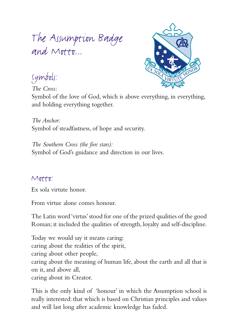### The Assumption Badge and Motto...



Symbols:

*The Cross:*

Symbol of the love of God, which is above everything, in everything, and holding everything together.

*The Anchor:* Symbol of steadfastness, of hope and security.

*The Southern Cross (the five stars):* Symbol of God's guidance and direction in our lives.

#### Motto:

Ex sola virtute honor.

From virtue alone comes honour.

The Latin word 'virtus'stood for one of the prized qualities of the good Roman; it included the qualities of strength, loyalty and self-discipline.

Today we would say it means caring: caring about the realities of the spirit, caring about other people, caring about the meaning of human life, about the earth and all that is on it, and above all, caring about its Creator.

This is the only kind of 'honour' in which the Assumption school is really interested: that which is based on Christian principles and values and will last long after academic knowledge has faded.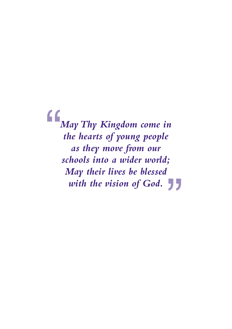*MayThy Kingdom come in the hearts of young people as they move from our schools into a wider world; May their lives be blessed with the vision of God.* " "